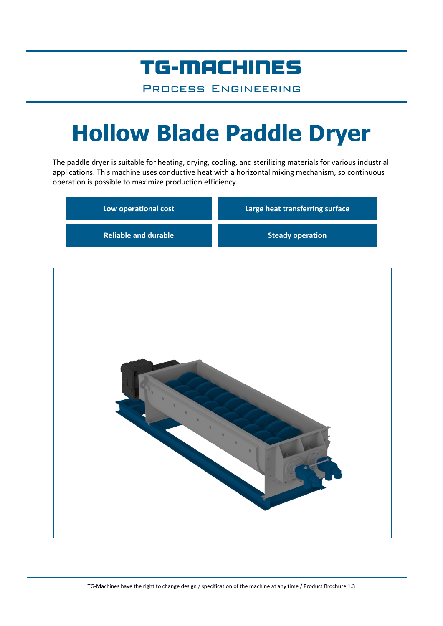## TG-MACHINES

Process Engineering

# **Hollow Blade Paddle Dryer**

The paddle dryer is suitable for heating, drying, cooling, and sterilizing materials for various industrial applications. This machine uses conductive heat with a horizontal mixing mechanism, so continuous operation is possible to maximize production efficiency.

| Low operational cost        | Large heat transferring surface |
|-----------------------------|---------------------------------|
| <b>Reliable and durable</b> | <b>Steady operation</b>         |